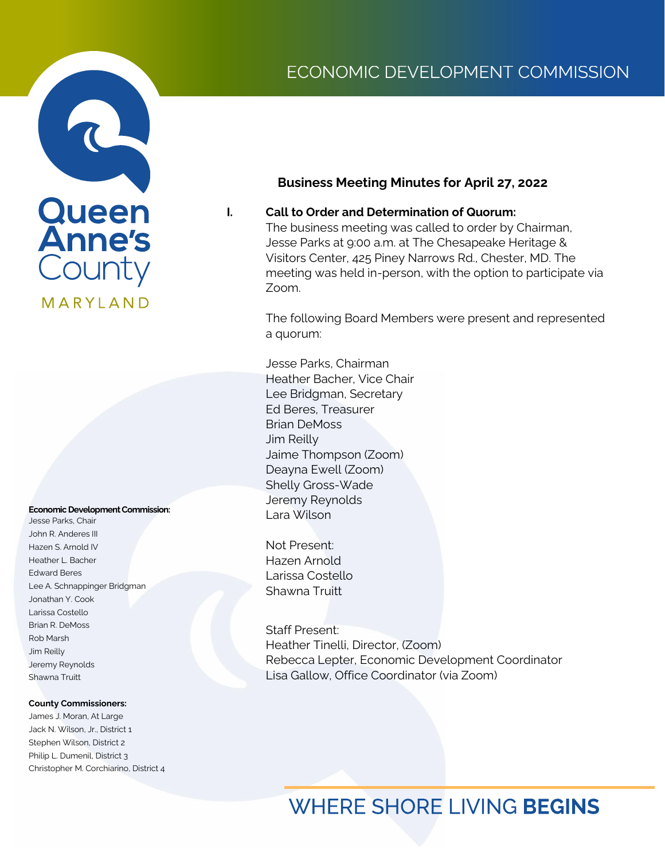# Queen<br>Anne's County MARYLAND

#### **Economic Development Commission:**

Jesse Parks, Chair John R. Anderes III Hazen S. Arnold IV Heather L. Bacher Edward Beres Lee A. Schnappinger Bridgman Jonathan Y. Cook Larissa Costello Brian R. DeMoss Rob Marsh Jim Reilly Jeremy Reynolds Shawna Truitt

#### **County Commissioners:**

James J. Moran, At Large Jack N. Wilson, Jr., District 1 Stephen Wilson, District 2 Philip L. Dumenil, District 3 Christopher M. Corchiarino, District 4

## ECONOMIC DEVELOPMENT COMMISSION

### **Business Meeting Minutes for April 27, 2022**

### **I. Call to Order and Determination of Quorum:**

The business meeting was called to order by Chairman, Jesse Parks at 9:00 a.m. at The Chesapeake Heritage & Visitors Center, 425 Piney Narrows Rd., Chester, MD. The meeting was held in-person, with the option to participate via Zoom.

The following Board Members were present and represented a quorum:

Jesse Parks, Chairman Heather Bacher, Vice Chair Lee Bridgman, Secretary Ed Beres, Treasurer Brian DeMoss Jim Reilly Jaime Thompson (Zoom) Deayna Ewell (Zoom) Shelly Gross-Wade Jeremy Reynolds Lara Wilson

Not Present: Hazen Arnold Larissa Costello Shawna Truitt

Staff Present: Heather Tinelli, Director, (Zoom) Rebecca Lepter, Economic Development Coordinator Lisa Gallow, Office Coordinator (via Zoom)

# **WHERE SHORE LIVING BEGINS**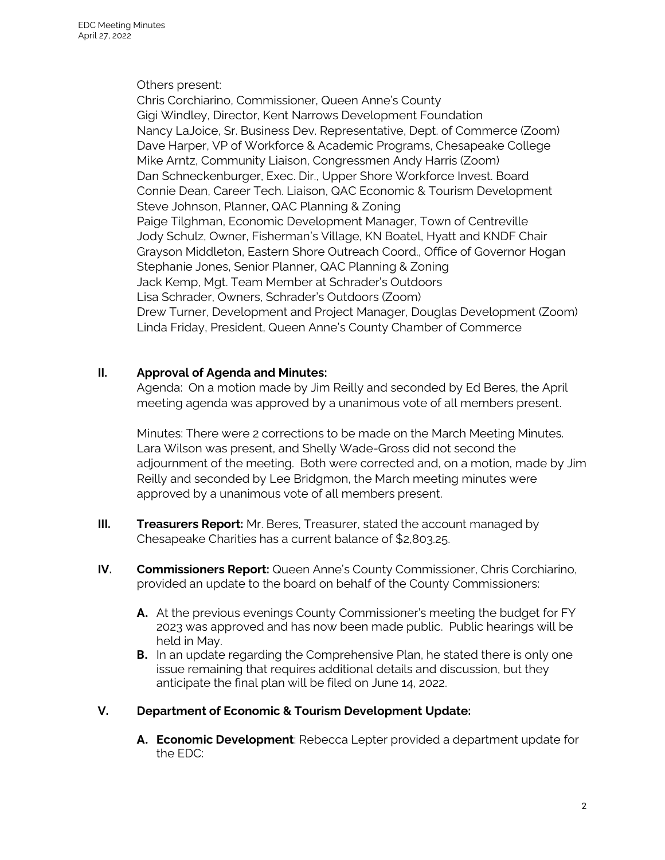Others present:

Chris Corchiarino, Commissioner, Queen Anne's County Gigi Windley, Director, Kent Narrows Development Foundation Nancy LaJoice, Sr. Business Dev. Representative, Dept. of Commerce (Zoom) Dave Harper, VP of Workforce & Academic Programs, Chesapeake College Mike Arntz, Community Liaison, Congressmen Andy Harris (Zoom) Dan Schneckenburger, Exec. Dir., Upper Shore Workforce Invest. Board Connie Dean, Career Tech. Liaison, QAC Economic & Tourism Development Steve Johnson, Planner, QAC Planning & Zoning Paige Tilghman, Economic Development Manager, Town of Centreville Jody Schulz, Owner, Fisherman's Village, KN Boatel, Hyatt and KNDF Chair Grayson Middleton, Eastern Shore Outreach Coord., Office of Governor Hogan Stephanie Jones, Senior Planner, QAC Planning & Zoning Jack Kemp, Mgt. Team Member at Schrader's Outdoors Lisa Schrader, Owners, Schrader's Outdoors (Zoom) Drew Turner, Development and Project Manager, Douglas Development (Zoom) Linda Friday, President, Queen Anne's County Chamber of Commerce

### **II. Approval of Agenda and Minutes:**

Agenda: On a motion made by Jim Reilly and seconded by Ed Beres, the April meeting agenda was approved by a unanimous vote of all members present.

Minutes: There were 2 corrections to be made on the March Meeting Minutes. Lara Wilson was present, and Shelly Wade-Gross did not second the adjournment of the meeting. Both were corrected and, on a motion, made by Jim Reilly and seconded by Lee Bridgmon, the March meeting minutes were approved by a unanimous vote of all members present.

- **III. Treasurers Report:** Mr. Beres, Treasurer, stated the account managed by Chesapeake Charities has a current balance of \$2,803.25.
- **IV. Commissioners Report:** Queen Anne's County Commissioner, Chris Corchiarino, provided an update to the board on behalf of the County Commissioners:
	- **A.** At the previous evenings County Commissioner's meeting the budget for FY 2023 was approved and has now been made public. Public hearings will be held in May.
	- **B.** In an update regarding the Comprehensive Plan, he stated there is only one issue remaining that requires additional details and discussion, but they anticipate the final plan will be filed on June 14, 2022.

### **V. Department of Economic & Tourism Development Update:**

**A. Economic Development**: Rebecca Lepter provided a department update for the EDC: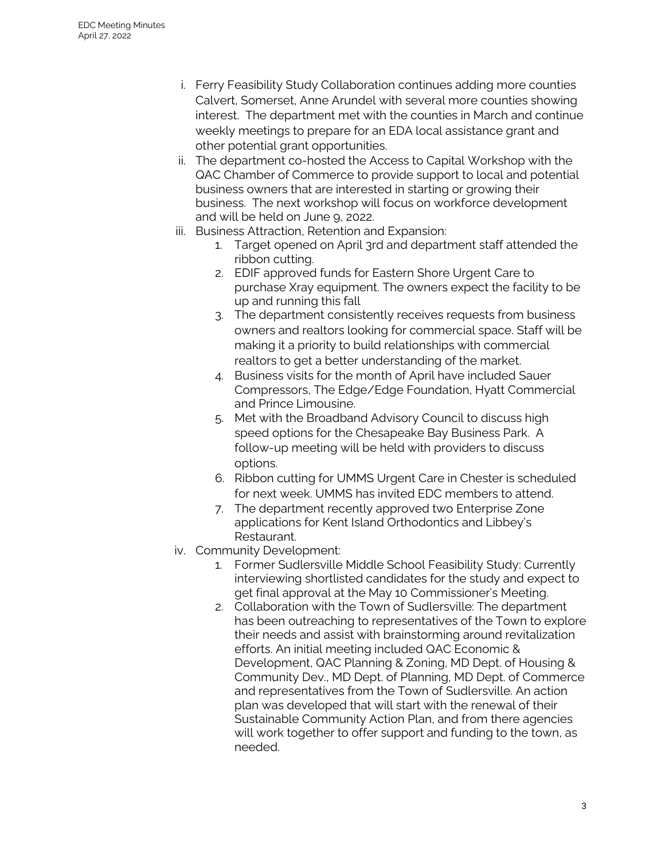- i. Ferry Feasibility Study Collaboration continues adding more counties Calvert, Somerset, Anne Arundel with several more counties showing interest. The department met with the counties in March and continue weekly meetings to prepare for an EDA local assistance grant and other potential grant opportunities.
- ii. The department co-hosted the Access to Capital Workshop with the QAC Chamber of Commerce to provide support to local and potential business owners that are interested in starting or growing their business. The next workshop will focus on workforce development and will be held on June 9, 2022.
- iii. Business Attraction, Retention and Expansion:
	- 1. Target opened on April 3rd and department staff attended the ribbon cutting.
	- 2. EDIF approved funds for Eastern Shore Urgent Care to purchase Xray equipment. The owners expect the facility to be up and running this fall
	- 3. The department consistently receives requests from business owners and realtors looking for commercial space. Staff will be making it a priority to build relationships with commercial realtors to get a better understanding of the market.
	- 4. Business visits for the month of April have included Sauer Compressors, The Edge/Edge Foundation, Hyatt Commercial and Prince Limousine.
	- 5. Met with the Broadband Advisory Council to discuss high speed options for the Chesapeake Bay Business Park. A follow-up meeting will be held with providers to discuss options.
	- 6. Ribbon cutting for UMMS Urgent Care in Chester is scheduled for next week. UMMS has invited EDC members to attend.
	- 7. The department recently approved two Enterprise Zone applications for Kent Island Orthodontics and Libbey's Restaurant.
- iv. Community Development:
	- 1. Former Sudlersville Middle School Feasibility Study: Currently interviewing shortlisted candidates for the study and expect to get final approval at the May 10 Commissioner's Meeting.
	- 2. Collaboration with the Town of Sudlersville: The department has been outreaching to representatives of the Town to explore their needs and assist with brainstorming around revitalization efforts. An initial meeting included QAC Economic & Development, QAC Planning & Zoning, MD Dept. of Housing & Community Dev., MD Dept. of Planning, MD Dept. of Commerce and representatives from the Town of Sudlersville. An action plan was developed that will start with the renewal of their Sustainable Community Action Plan, and from there agencies will work together to offer support and funding to the town, as needed.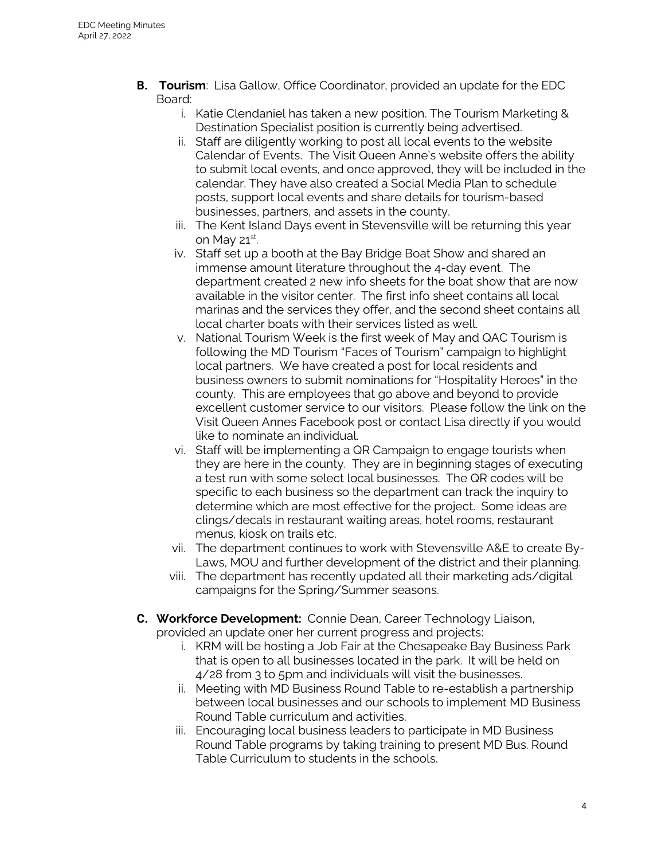- **B. Tourism**: Lisa Gallow, Office Coordinator, provided an update for the EDC Board:
	- i. Katie Clendaniel has taken a new position. The Tourism Marketing & Destination Specialist position is currently being advertised.
	- ii. Staff are diligently working to post all local events to the website Calendar of Events. The Visit Queen Anne's website offers the ability to submit local events, and once approved, they will be included in the calendar. They have also created a Social Media Plan to schedule posts, support local events and share details for tourism-based businesses, partners, and assets in the county.
	- iii. The Kent Island Days event in Stevensville will be returning this year on May 21st. .
	- iv. Staff set up a booth at the Bay Bridge Boat Show and shared an immense amount literature throughout the 4-day event. The department created 2 new info sheets for the boat show that are now available in the visitor center. The first info sheet contains all local marinas and the services they offer, and the second sheet contains all local charter boats with their services listed as well.
	- v. National Tourism Week is the first week of May and QAC Tourism is following the MD Tourism "Faces of Tourism" campaign to highlight local partners. We have created a post for local residents and business owners to submit nominations for "Hospitality Heroes" in the county. This are employees that go above and beyond to provide excellent customer service to our visitors. Please follow the link on the Visit Queen Annes Facebook post or contact Lisa directly if you would like to nominate an individual.
	- vi. Staff will be implementing a QR Campaign to engage tourists when they are here in the county. They are in beginning stages of executing a test run with some select local businesses. The QR codes will be specific to each business so the department can track the inquiry to determine which are most effective for the project. Some ideas are clings/decals in restaurant waiting areas, hotel rooms, restaurant menus, kiosk on trails etc.
	- vii. The department continues to work with Stevensville A&E to create By-Laws, MOU and further development of the district and their planning.
	- viii. The department has recently updated all their marketing ads/digital campaigns for the Spring/Summer seasons.
- **C. Workforce Development:** Connie Dean, Career Technology Liaison, provided an update oner her current progress and projects:
	- i. KRM will be hosting a Job Fair at the Chesapeake Bay Business Park that is open to all businesses located in the park. It will be held on 4/28 from 3 to 5pm and individuals will visit the businesses.
	- ii. Meeting with MD Business Round Table to re-establish a partnership between local businesses and our schools to implement MD Business Round Table curriculum and activities.
	- iii. Encouraging local business leaders to participate in MD Business Round Table programs by taking training to present MD Bus. Round Table Curriculum to students in the schools.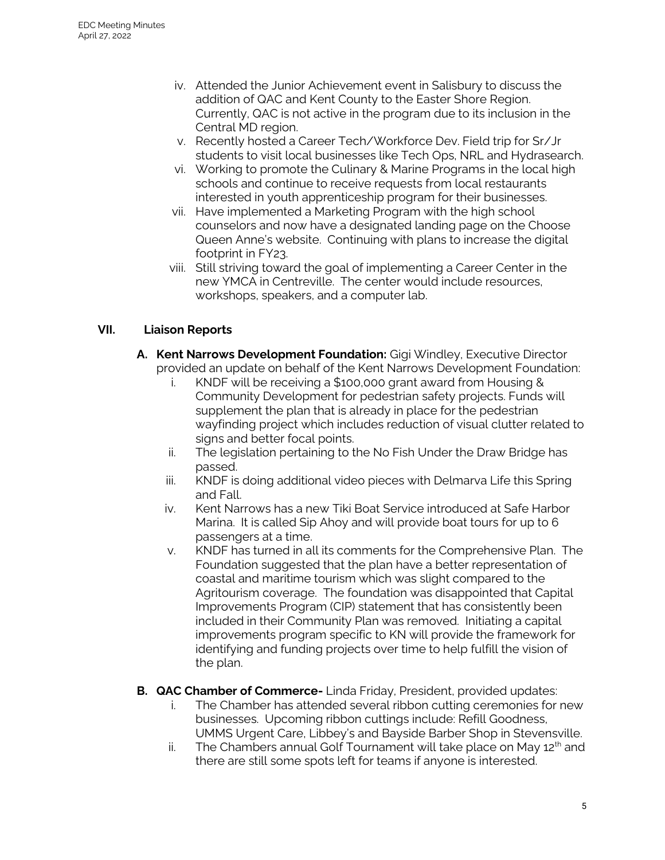- iv. Attended the Junior Achievement event in Salisbury to discuss the addition of QAC and Kent County to the Easter Shore Region. Currently, QAC is not active in the program due to its inclusion in the Central MD region.
- v. Recently hosted a Career Tech/Workforce Dev. Field trip for Sr/Jr students to visit local businesses like Tech Ops, NRL and Hydrasearch.
- vi. Working to promote the Culinary & Marine Programs in the local high schools and continue to receive requests from local restaurants interested in youth apprenticeship program for their businesses.
- vii. Have implemented a Marketing Program with the high school counselors and now have a designated landing page on the Choose Queen Anne's website. Continuing with plans to increase the digital footprint in FY23.
- viii. Still striving toward the goal of implementing a Career Center in the new YMCA in Centreville. The center would include resources, workshops, speakers, and a computer lab.

### **VII. Liaison Reports**

- **A. Kent Narrows Development Foundation:** Gigi Windley, Executive Director provided an update on behalf of the Kent Narrows Development Foundation:
	- i. KNDF will be receiving a \$100,000 grant award from Housing & Community Development for pedestrian safety projects. Funds will supplement the plan that is already in place for the pedestrian wayfinding project which includes reduction of visual clutter related to signs and better focal points.
	- ii. The legislation pertaining to the No Fish Under the Draw Bridge has passed.
	- iii. KNDF is doing additional video pieces with Delmarva Life this Spring and Fall.
	- iv. Kent Narrows has a new Tiki Boat Service introduced at Safe Harbor Marina. It is called Sip Ahoy and will provide boat tours for up to 6 passengers at a time.
	- v. KNDF has turned in all its comments for the Comprehensive Plan. The Foundation suggested that the plan have a better representation of coastal and maritime tourism which was slight compared to the Agritourism coverage. The foundation was disappointed that Capital Improvements Program (CIP) statement that has consistently been included in their Community Plan was removed. Initiating a capital improvements program specific to KN will provide the framework for identifying and funding projects over time to help fulfill the vision of the plan.
- **B. QAC Chamber of Commerce-** Linda Friday, President, provided updates:
	- i. The Chamber has attended several ribbon cutting ceremonies for new businesses. Upcoming ribbon cuttings include: Refill Goodness, UMMS Urgent Care, Libbey's and Bayside Barber Shop in Stevensville.
	- ii. The Chambers annual Golf Tournament will take place on May  $12<sup>th</sup>$  and there are still some spots left for teams if anyone is interested.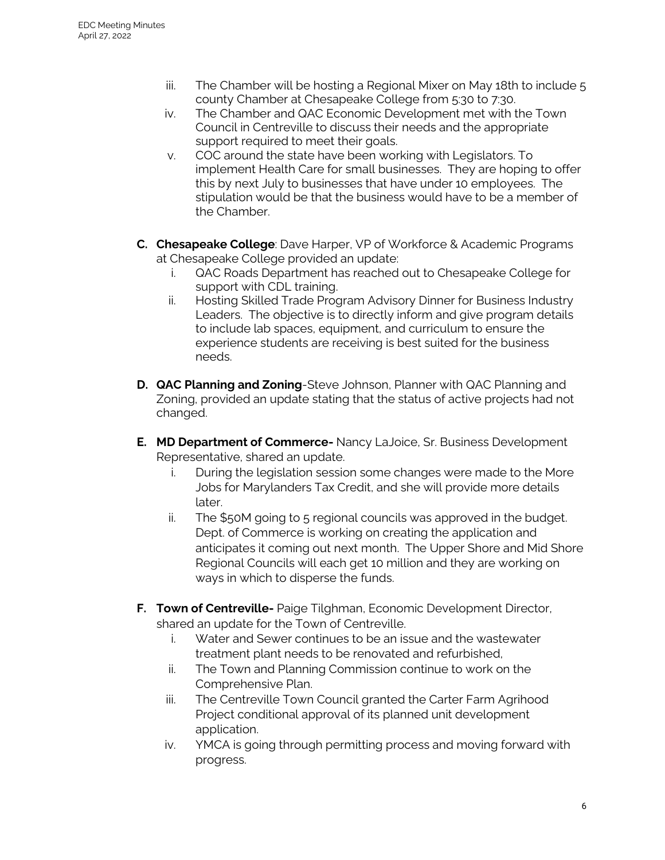- iii. The Chamber will be hosting a Regional Mixer on May 18th to include 5 county Chamber at Chesapeake College from 5:30 to 7:30.
- iv. The Chamber and QAC Economic Development met with the Town Council in Centreville to discuss their needs and the appropriate support required to meet their goals.
- v. COC around the state have been working with Legislators. To implement Health Care for small businesses. They are hoping to offer this by next July to businesses that have under 10 employees. The stipulation would be that the business would have to be a member of the Chamber.
- **C. Chesapeake College**: Dave Harper, VP of Workforce & Academic Programs at Chesapeake College provided an update:
	- i. QAC Roads Department has reached out to Chesapeake College for support with CDL training.
	- ii. Hosting Skilled Trade Program Advisory Dinner for Business Industry Leaders. The objective is to directly inform and give program details to include lab spaces, equipment, and curriculum to ensure the experience students are receiving is best suited for the business needs.
- **D. QAC Planning and Zoning**-Steve Johnson, Planner with QAC Planning and Zoning, provided an update stating that the status of active projects had not changed.
- **E. MD Department of Commerce-** Nancy LaJoice, Sr. Business Development Representative, shared an update.
	- i. During the legislation session some changes were made to the More Jobs for Marylanders Tax Credit, and she will provide more details later.
	- ii. The \$50M going to 5 regional councils was approved in the budget. Dept. of Commerce is working on creating the application and anticipates it coming out next month. The Upper Shore and Mid Shore Regional Councils will each get 10 million and they are working on ways in which to disperse the funds.
- **F. Town of Centreville-** Paige Tilghman, Economic Development Director, shared an update for the Town of Centreville.
	- i. Water and Sewer continues to be an issue and the wastewater treatment plant needs to be renovated and refurbished,
	- ii. The Town and Planning Commission continue to work on the Comprehensive Plan.
	- iii. The Centreville Town Council granted the Carter Farm Agrihood Project conditional approval of its planned unit development application.
	- iv. YMCA is going through permitting process and moving forward with progress.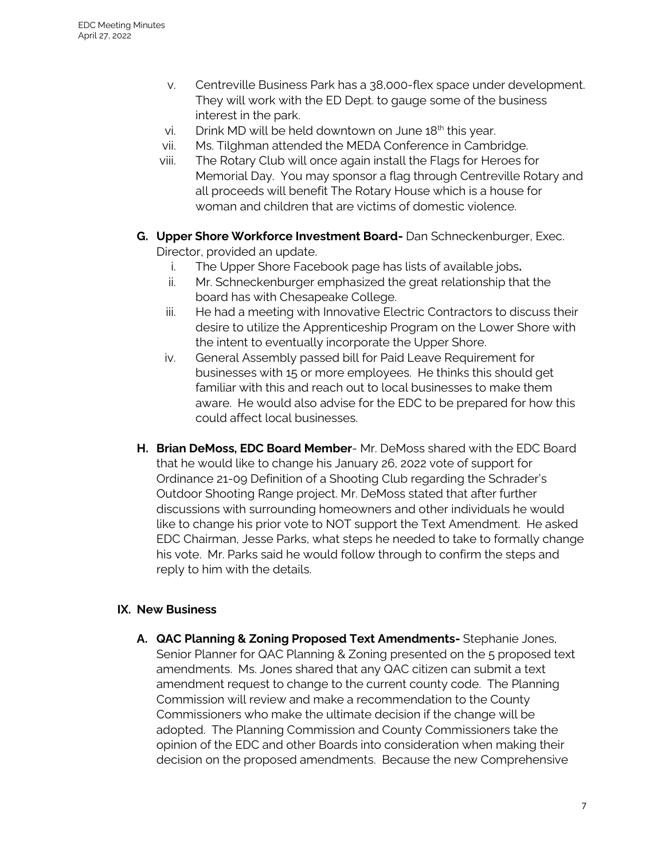- v. Centreville Business Park has a 38,000-flex space under development. They will work with the ED Dept. to gauge some of the business interest in the park.
- vi. Drink MD will be held downtown on June  $18<sup>th</sup>$  this year.
- vii. Ms. Tilghman attended the MEDA Conference in Cambridge.
- viii. The Rotary Club will once again install the Flags for Heroes for Memorial Day. You may sponsor a flag through Centreville Rotary and all proceeds will benefit The Rotary House which is a house for woman and children that are victims of domestic violence.
- **G. Upper Shore Workforce Investment Board-** Dan Schneckenburger, Exec. Director, provided an update.
	- i. The Upper Shore Facebook page has lists of available jobs**.**
	- ii. Mr. Schneckenburger emphasized the great relationship that the board has with Chesapeake College.
	- iii. He had a meeting with Innovative Electric Contractors to discuss their desire to utilize the Apprenticeship Program on the Lower Shore with the intent to eventually incorporate the Upper Shore.
	- iv. General Assembly passed bill for Paid Leave Requirement for businesses with 15 or more employees. He thinks this should get familiar with this and reach out to local businesses to make them aware. He would also advise for the EDC to be prepared for how this could affect local businesses.
- **H. Brian DeMoss, EDC Board Member** Mr. DeMoss shared with the EDC Board that he would like to change his January 26, 2022 vote of support for Ordinance 21-09 Definition of a Shooting Club regarding the Schrader's Outdoor Shooting Range project. Mr. DeMoss stated that after further discussions with surrounding homeowners and other individuals he would like to change his prior vote to NOT support the Text Amendment. He asked EDC Chairman, Jesse Parks, what steps he needed to take to formally change his vote. Mr. Parks said he would follow through to confirm the steps and reply to him with the details.

### **IX. New Business**

**A. QAC Planning & Zoning Proposed Text Amendments-** Stephanie Jones, Senior Planner for QAC Planning & Zoning presented on the 5 proposed text amendments. Ms. Jones shared that any QAC citizen can submit a text amendment request to change to the current county code. The Planning Commission will review and make a recommendation to the County Commissioners who make the ultimate decision if the change will be adopted. The Planning Commission and County Commissioners take the opinion of the EDC and other Boards into consideration when making their decision on the proposed amendments. Because the new Comprehensive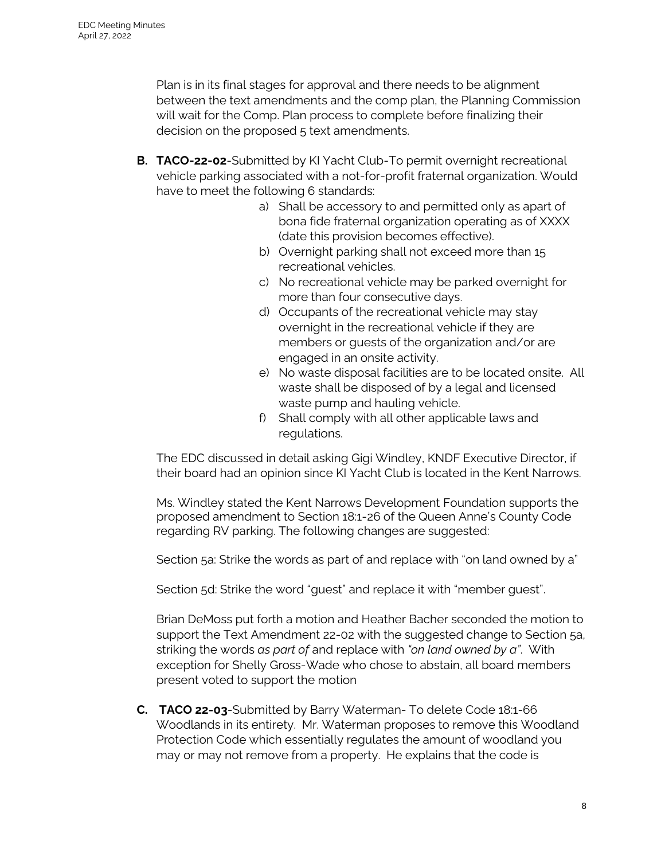Plan is in its final stages for approval and there needs to be alignment between the text amendments and the comp plan, the Planning Commission will wait for the Comp. Plan process to complete before finalizing their decision on the proposed 5 text amendments.

- **B. TACO-22-02**-Submitted by KI Yacht Club-To permit overnight recreational vehicle parking associated with a not-for-profit fraternal organization. Would have to meet the following 6 standards:
	- a) Shall be accessory to and permitted only as apart of bona fide fraternal organization operating as of XXXX (date this provision becomes effective).
	- b) Overnight parking shall not exceed more than 15 recreational vehicles.
	- c) No recreational vehicle may be parked overnight for more than four consecutive days.
	- d) Occupants of the recreational vehicle may stay overnight in the recreational vehicle if they are members or guests of the organization and/or are engaged in an onsite activity.
	- e) No waste disposal facilities are to be located onsite. All waste shall be disposed of by a legal and licensed waste pump and hauling vehicle.
	- f) Shall comply with all other applicable laws and regulations.

The EDC discussed in detail asking Gigi Windley, KNDF Executive Director, if their board had an opinion since KI Yacht Club is located in the Kent Narrows.

Ms. Windley stated the Kent Narrows Development Foundation supports the proposed amendment to Section 18:1-26 of the Queen Anne's County Code regarding RV parking. The following changes are suggested:

Section 5a: Strike the words as part of and replace with "on land owned by a"

Section 5d: Strike the word "guest" and replace it with "member guest".

Brian DeMoss put forth a motion and Heather Bacher seconded the motion to support the Text Amendment 22-02 with the suggested change to Section 5a, striking the words *as part of* and replace with *"on land owned by a"*. With exception for Shelly Gross-Wade who chose to abstain, all board members present voted to support the motion

**C. TACO 22-03**-Submitted by Barry Waterman- To delete Code 18:1-66 Woodlands in its entirety. Mr. Waterman proposes to remove this Woodland Protection Code which essentially regulates the amount of woodland you may or may not remove from a property. He explains that the code is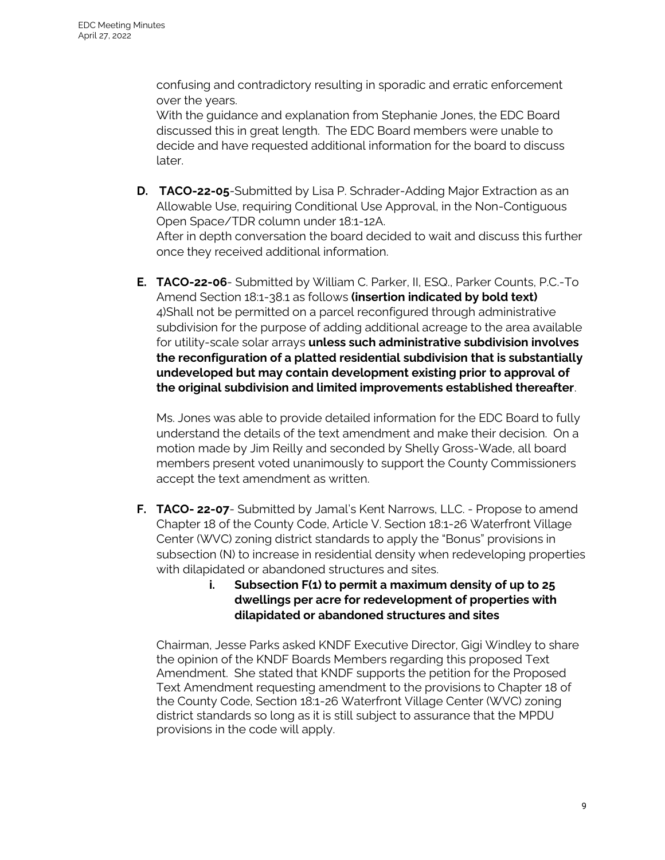confusing and contradictory resulting in sporadic and erratic enforcement over the years.

With the guidance and explanation from Stephanie Jones, the EDC Board discussed this in great length. The EDC Board members were unable to decide and have requested additional information for the board to discuss later.

- **D. TACO-22-05**-Submitted by Lisa P. Schrader-Adding Major Extraction as an Allowable Use, requiring Conditional Use Approval, in the Non-Contiguous Open Space/TDR column under 18:1-12A. After in depth conversation the board decided to wait and discuss this further once they received additional information.
- **E. TACO-22-06** Submitted by William C. Parker, II, ESQ., Parker Counts, P.C.-To Amend Section 18:1-38.1 as follows **(insertion indicated by bold text)** 4)Shall not be permitted on a parcel reconfigured through administrative subdivision for the purpose of adding additional acreage to the area available for utility-scale solar arrays **unless such administrative subdivision involves the reconfiguration of a platted residential subdivision that is substantially undeveloped but may contain development existing prior to approval of the original subdivision and limited improvements established thereafter**.

Ms. Jones was able to provide detailed information for the EDC Board to fully understand the details of the text amendment and make their decision. On a motion made by Jim Reilly and seconded by Shelly Gross-Wade, all board members present voted unanimously to support the County Commissioners accept the text amendment as written.

- **F. TACO- 22-07** Submitted by Jamal's Kent Narrows, LLC. Propose to amend Chapter 18 of the County Code, Article V. Section 18:1-26 Waterfront Village Center (WVC) zoning district standards to apply the "Bonus" provisions in subsection (N) to increase in residential density when redeveloping properties with dilapidated or abandoned structures and sites.
	- **i. Subsection F(1) to permit a maximum density of up to 25 dwellings per acre for redevelopment of properties with dilapidated or abandoned structures and sites**

Chairman, Jesse Parks asked KNDF Executive Director, Gigi Windley to share the opinion of the KNDF Boards Members regarding this proposed Text Amendment. She stated that KNDF supports the petition for the Proposed Text Amendment requesting amendment to the provisions to Chapter 18 of the County Code, Section 18:1-26 Waterfront Village Center (WVC) zoning district standards so long as it is still subject to assurance that the MPDU provisions in the code will apply.